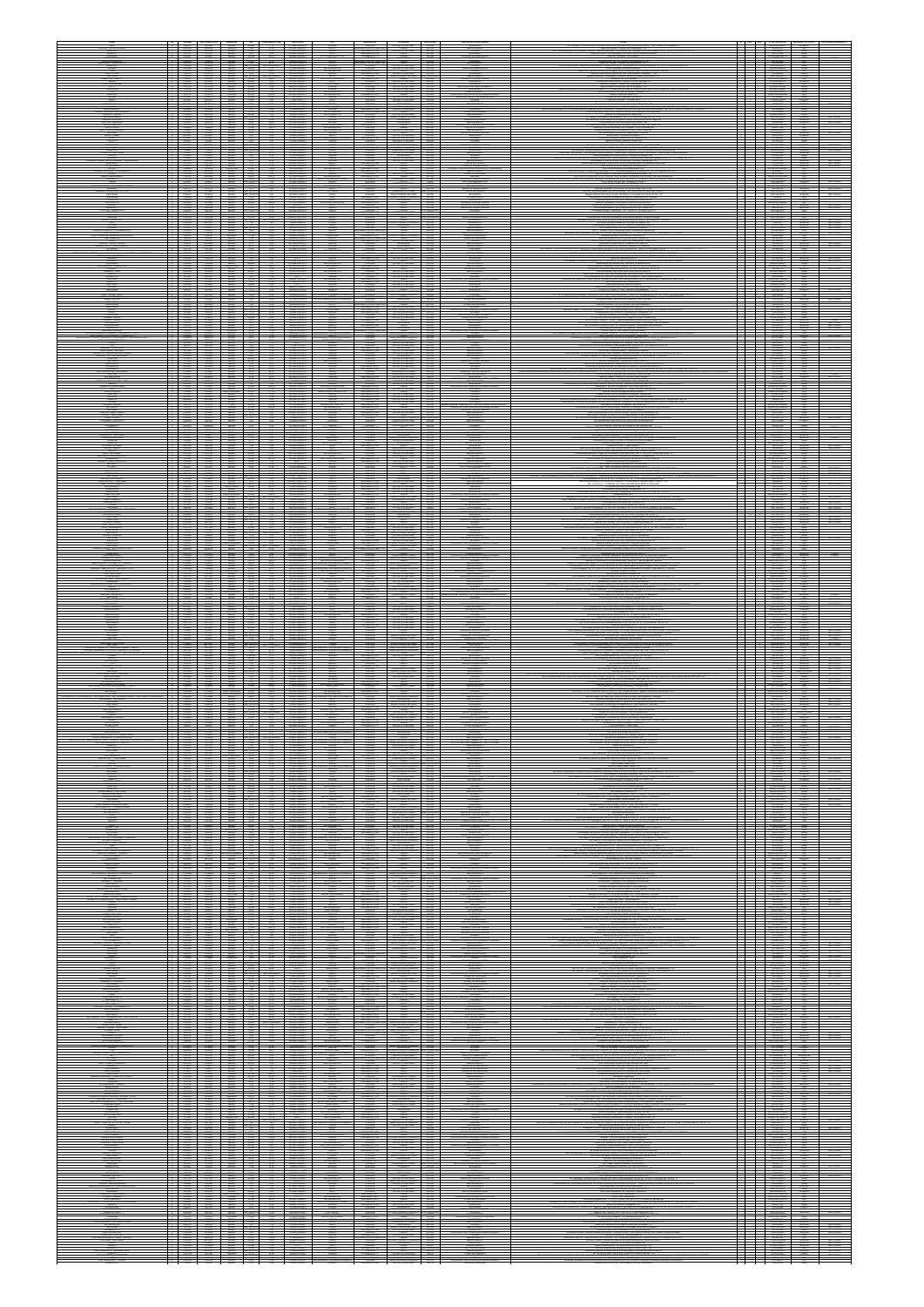|  |                                                                                                                      |                                                                  |  | ₿                                                                                                                                                                                                                                                                                                                                                                                 |
|--|----------------------------------------------------------------------------------------------------------------------|------------------------------------------------------------------|--|-----------------------------------------------------------------------------------------------------------------------------------------------------------------------------------------------------------------------------------------------------------------------------------------------------------------------------------------------------------------------------------|
|  |                                                                                                                      |                                                                  |  |                                                                                                                                                                                                                                                                                                                                                                                   |
|  |                                                                                                                      |                                                                  |  |                                                                                                                                                                                                                                                                                                                                                                                   |
|  |                                                                                                                      |                                                                  |  |                                                                                                                                                                                                                                                                                                                                                                                   |
|  |                                                                                                                      |                                                                  |  |                                                                                                                                                                                                                                                                                                                                                                                   |
|  |                                                                                                                      |                                                                  |  |                                                                                                                                                                                                                                                                                                                                                                                   |
|  |                                                                                                                      |                                                                  |  |                                                                                                                                                                                                                                                                                                                                                                                   |
|  |                                                                                                                      |                                                                  |  |                                                                                                                                                                                                                                                                                                                                                                                   |
|  |                                                                                                                      |                                                                  |  |                                                                                                                                                                                                                                                                                                                                                                                   |
|  |                                                                                                                      |                                                                  |  |                                                                                                                                                                                                                                                                                                                                                                                   |
|  |                                                                                                                      |                                                                  |  |                                                                                                                                                                                                                                                                                                                                                                                   |
|  |                                                                                                                      |                                                                  |  |                                                                                                                                                                                                                                                                                                                                                                                   |
|  |                                                                                                                      |                                                                  |  |                                                                                                                                                                                                                                                                                                                                                                                   |
|  |                                                                                                                      |                                                                  |  |                                                                                                                                                                                                                                                                                                                                                                                   |
|  |                                                                                                                      |                                                                  |  |                                                                                                                                                                                                                                                                                                                                                                                   |
|  |                                                                                                                      |                                                                  |  |                                                                                                                                                                                                                                                                                                                                                                                   |
|  |                                                                                                                      |                                                                  |  |                                                                                                                                                                                                                                                                                                                                                                                   |
|  |                                                                                                                      |                                                                  |  |                                                                                                                                                                                                                                                                                                                                                                                   |
|  |                                                                                                                      |                                                                  |  |                                                                                                                                                                                                                                                                                                                                                                                   |
|  |                                                                                                                      |                                                                  |  |                                                                                                                                                                                                                                                                                                                                                                                   |
|  |                                                                                                                      |                                                                  |  |                                                                                                                                                                                                                                                                                                                                                                                   |
|  |                                                                                                                      |                                                                  |  |                                                                                                                                                                                                                                                                                                                                                                                   |
|  |                                                                                                                      |                                                                  |  |                                                                                                                                                                                                                                                                                                                                                                                   |
|  |                                                                                                                      |                                                                  |  |                                                                                                                                                                                                                                                                                                                                                                                   |
|  |                                                                                                                      |                                                                  |  |                                                                                                                                                                                                                                                                                                                                                                                   |
|  |                                                                                                                      |                                                                  |  |                                                                                                                                                                                                                                                                                                                                                                                   |
|  |                                                                                                                      |                                                                  |  |                                                                                                                                                                                                                                                                                                                                                                                   |
|  |                                                                                                                      |                                                                  |  |                                                                                                                                                                                                                                                                                                                                                                                   |
|  |                                                                                                                      |                                                                  |  |                                                                                                                                                                                                                                                                                                                                                                                   |
|  |                                                                                                                      |                                                                  |  |                                                                                                                                                                                                                                                                                                                                                                                   |
|  |                                                                                                                      |                                                                  |  |                                                                                                                                                                                                                                                                                                                                                                                   |
|  |                                                                                                                      |                                                                  |  |                                                                                                                                                                                                                                                                                                                                                                                   |
|  |                                                                                                                      |                                                                  |  |                                                                                                                                                                                                                                                                                                                                                                                   |
|  |                                                                                                                      |                                                                  |  |                                                                                                                                                                                                                                                                                                                                                                                   |
|  |                                                                                                                      |                                                                  |  |                                                                                                                                                                                                                                                                                                                                                                                   |
|  |                                                                                                                      |                                                                  |  |                                                                                                                                                                                                                                                                                                                                                                                   |
|  |                                                                                                                      |                                                                  |  |                                                                                                                                                                                                                                                                                                                                                                                   |
|  |                                                                                                                      |                                                                  |  |                                                                                                                                                                                                                                                                                                                                                                                   |
|  |                                                                                                                      |                                                                  |  |                                                                                                                                                                                                                                                                                                                                                                                   |
|  |                                                                                                                      |                                                                  |  |                                                                                                                                                                                                                                                                                                                                                                                   |
|  |                                                                                                                      |                                                                  |  |                                                                                                                                                                                                                                                                                                                                                                                   |
|  |                                                                                                                      |                                                                  |  |                                                                                                                                                                                                                                                                                                                                                                                   |
|  |                                                                                                                      |                                                                  |  |                                                                                                                                                                                                                                                                                                                                                                                   |
|  |                                                                                                                      |                                                                  |  |                                                                                                                                                                                                                                                                                                                                                                                   |
|  |                                                                                                                      |                                                                  |  |                                                                                                                                                                                                                                                                                                                                                                                   |
|  |                                                                                                                      |                                                                  |  |                                                                                                                                                                                                                                                                                                                                                                                   |
|  |                                                                                                                      |                                                                  |  |                                                                                                                                                                                                                                                                                                                                                                                   |
|  |                                                                                                                      |                                                                  |  |                                                                                                                                                                                                                                                                                                                                                                                   |
|  | $\frac{25}{25}$ $\frac{25}{25}$                                                                                      |                                                                  |  |                                                                                                                                                                                                                                                                                                                                                                                   |
|  |                                                                                                                      |                                                                  |  |                                                                                                                                                                                                                                                                                                                                                                                   |
|  |                                                                                                                      |                                                                  |  |                                                                                                                                                                                                                                                                                                                                                                                   |
|  |                                                                                                                      |                                                                  |  | Ħ                                                                                                                                                                                                                                                                                                                                                                                 |
|  |                                                                                                                      |                                                                  |  |                                                                                                                                                                                                                                                                                                                                                                                   |
|  |                                                                                                                      |                                                                  |  | $\begin{tabular}{ c c c c } \hline & $C_1(C) \cap C_1(C)$ & $C_1(C) \cap C_2(C)$ \\ \hline & $C_1(C) \cap C_2(C)$ & $C_1(C) \cap C_2(C)$ & $C_1(C) \cap C_2(C)$ & $C_1(C) \cap C_2(C)$ & $C_1(C) \cap C_2(C)$ & $C_1(C) \cap C_2(C)$ & $C_1(C) \cap C_2(C)$ & $C_1(C) \cap C_2(C)$ & $C_1(C) \cap C_2(C)$ & $C_1(C) \cap C_2(C)$ & $C_1(C) \cap C_2(C)$ & $C_1(C) \cap C_2(C)$ &$ |
|  |                                                                                                                      |                                                                  |  |                                                                                                                                                                                                                                                                                                                                                                                   |
|  |                                                                                                                      |                                                                  |  |                                                                                                                                                                                                                                                                                                                                                                                   |
|  |                                                                                                                      |                                                                  |  |                                                                                                                                                                                                                                                                                                                                                                                   |
|  |                                                                                                                      |                                                                  |  |                                                                                                                                                                                                                                                                                                                                                                                   |
|  |                                                                                                                      |                                                                  |  |                                                                                                                                                                                                                                                                                                                                                                                   |
|  |                                                                                                                      |                                                                  |  |                                                                                                                                                                                                                                                                                                                                                                                   |
|  |                                                                                                                      |                                                                  |  |                                                                                                                                                                                                                                                                                                                                                                                   |
|  |                                                                                                                      | a ili provinci<br>Lindon de Lindon<br>Lindon de Lindon de Lindon |  |                                                                                                                                                                                                                                                                                                                                                                                   |
|  |                                                                                                                      |                                                                  |  |                                                                                                                                                                                                                                                                                                                                                                                   |
|  |                                                                                                                      |                                                                  |  |                                                                                                                                                                                                                                                                                                                                                                                   |
|  |                                                                                                                      |                                                                  |  |                                                                                                                                                                                                                                                                                                                                                                                   |
|  | $\begin{tabular}{ c c c } \hline & 18 & & & \\ \hline 28 & 18 & & & \\ \hline 38 & 18 & & & \\ \hline \end{tabular}$ |                                                                  |  |                                                                                                                                                                                                                                                                                                                                                                                   |
|  |                                                                                                                      |                                                                  |  |                                                                                                                                                                                                                                                                                                                                                                                   |
|  |                                                                                                                      |                                                                  |  | i.                                                                                                                                                                                                                                                                                                                                                                                |
|  |                                                                                                                      |                                                                  |  |                                                                                                                                                                                                                                                                                                                                                                                   |
|  |                                                                                                                      |                                                                  |  |                                                                                                                                                                                                                                                                                                                                                                                   |
|  |                                                                                                                      |                                                                  |  |                                                                                                                                                                                                                                                                                                                                                                                   |
|  |                                                                                                                      |                                                                  |  |                                                                                                                                                                                                                                                                                                                                                                                   |
|  |                                                                                                                      |                                                                  |  |                                                                                                                                                                                                                                                                                                                                                                                   |
|  | k.                                                                                                                   |                                                                  |  |                                                                                                                                                                                                                                                                                                                                                                                   |
|  |                                                                                                                      |                                                                  |  |                                                                                                                                                                                                                                                                                                                                                                                   |
|  |                                                                                                                      |                                                                  |  |                                                                                                                                                                                                                                                                                                                                                                                   |
|  |                                                                                                                      |                                                                  |  |                                                                                                                                                                                                                                                                                                                                                                                   |
|  |                                                                                                                      |                                                                  |  |                                                                                                                                                                                                                                                                                                                                                                                   |
|  |                                                                                                                      | a a shekarar 1999.<br>Bayan ta ƙasar Ingila                      |  |                                                                                                                                                                                                                                                                                                                                                                                   |
|  |                                                                                                                      |                                                                  |  |                                                                                                                                                                                                                                                                                                                                                                                   |
|  |                                                                                                                      | W                                                                |  | $\begin{tabular}{c} .302389. \\ -0.003389. \\ -0.00339. \\ -0.00007. \\ -0.00007. \\ \end{tabular}$                                                                                                                                                                                                                                                                               |
|  |                                                                                                                      |                                                                  |  |                                                                                                                                                                                                                                                                                                                                                                                   |
|  |                                                                                                                      |                                                                  |  |                                                                                                                                                                                                                                                                                                                                                                                   |
|  |                                                                                                                      |                                                                  |  | <u>esta</u>                                                                                                                                                                                                                                                                                                                                                                       |
|  |                                                                                                                      |                                                                  |  |                                                                                                                                                                                                                                                                                                                                                                                   |
|  |                                                                                                                      |                                                                  |  |                                                                                                                                                                                                                                                                                                                                                                                   |
|  |                                                                                                                      |                                                                  |  |                                                                                                                                                                                                                                                                                                                                                                                   |
|  |                                                                                                                      |                                                                  |  |                                                                                                                                                                                                                                                                                                                                                                                   |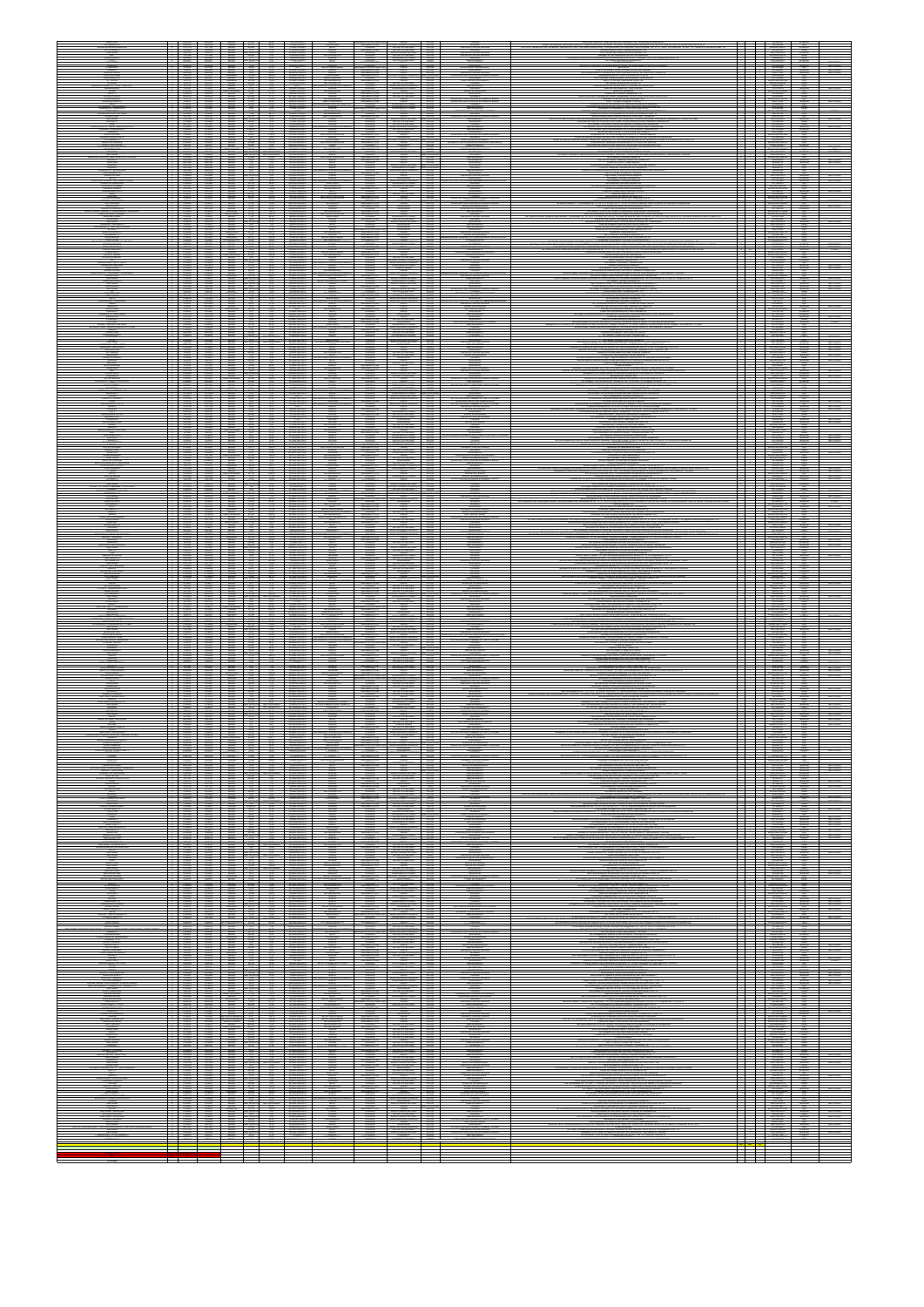|  |                                                                                                                                                                                                                                                                                                             | $\frac{1000}{1000}$                |                                                                                                                  |                |
|--|-------------------------------------------------------------------------------------------------------------------------------------------------------------------------------------------------------------------------------------------------------------------------------------------------------------|------------------------------------|------------------------------------------------------------------------------------------------------------------|----------------|
|  |                                                                                                                                                                                                                                                                                                             |                                    |                                                                                                                  |                |
|  |                                                                                                                                                                                                                                                                                                             |                                    |                                                                                                                  |                |
|  |                                                                                                                                                                                                                                                                                                             |                                    |                                                                                                                  |                |
|  |                                                                                                                                                                                                                                                                                                             |                                    |                                                                                                                  |                |
|  |                                                                                                                                                                                                                                                                                                             |                                    |                                                                                                                  |                |
|  |                                                                                                                                                                                                                                                                                                             |                                    |                                                                                                                  |                |
|  |                                                                                                                                                                                                                                                                                                             |                                    |                                                                                                                  |                |
|  |                                                                                                                                                                                                                                                                                                             |                                    |                                                                                                                  |                |
|  |                                                                                                                                                                                                                                                                                                             |                                    |                                                                                                                  |                |
|  |                                                                                                                                                                                                                                                                                                             |                                    |                                                                                                                  |                |
|  |                                                                                                                                                                                                                                                                                                             |                                    |                                                                                                                  |                |
|  |                                                                                                                                                                                                                                                                                                             |                                    |                                                                                                                  |                |
|  |                                                                                                                                                                                                                                                                                                             |                                    |                                                                                                                  |                |
|  |                                                                                                                                                                                                                                                                                                             |                                    |                                                                                                                  |                |
|  |                                                                                                                                                                                                                                                                                                             |                                    |                                                                                                                  |                |
|  |                                                                                                                                                                                                                                                                                                             |                                    |                                                                                                                  |                |
|  |                                                                                                                                                                                                                                                                                                             |                                    |                                                                                                                  |                |
|  |                                                                                                                                                                                                                                                                                                             |                                    |                                                                                                                  |                |
|  |                                                                                                                                                                                                                                                                                                             |                                    |                                                                                                                  |                |
|  |                                                                                                                                                                                                                                                                                                             |                                    |                                                                                                                  |                |
|  |                                                                                                                                                                                                                                                                                                             |                                    |                                                                                                                  |                |
|  |                                                                                                                                                                                                                                                                                                             |                                    |                                                                                                                  |                |
|  |                                                                                                                                                                                                                                                                                                             |                                    |                                                                                                                  |                |
|  |                                                                                                                                                                                                                                                                                                             |                                    |                                                                                                                  |                |
|  |                                                                                                                                                                                                                                                                                                             |                                    |                                                                                                                  |                |
|  |                                                                                                                                                                                                                                                                                                             |                                    |                                                                                                                  |                |
|  |                                                                                                                                                                                                                                                                                                             |                                    |                                                                                                                  |                |
|  |                                                                                                                                                                                                                                                                                                             |                                    |                                                                                                                  |                |
|  |                                                                                                                                                                                                                                                                                                             |                                    |                                                                                                                  |                |
|  |                                                                                                                                                                                                                                                                                                             |                                    |                                                                                                                  |                |
|  |                                                                                                                                                                                                                                                                                                             |                                    |                                                                                                                  |                |
|  |                                                                                                                                                                                                                                                                                                             |                                    |                                                                                                                  |                |
|  |                                                                                                                                                                                                                                                                                                             |                                    |                                                                                                                  |                |
|  |                                                                                                                                                                                                                                                                                                             |                                    |                                                                                                                  |                |
|  |                                                                                                                                                                                                                                                                                                             |                                    |                                                                                                                  |                |
|  |                                                                                                                                                                                                                                                                                                             |                                    |                                                                                                                  |                |
|  |                                                                                                                                                                                                                                                                                                             |                                    |                                                                                                                  |                |
|  |                                                                                                                                                                                                                                                                                                             |                                    |                                                                                                                  |                |
|  |                                                                                                                                                                                                                                                                                                             |                                    |                                                                                                                  |                |
|  | $\frac{1}{28}$ $\frac{1}{28}$ $\frac{1}{28}$ $\frac{1}{28}$ $\frac{1}{28}$ $\frac{1}{28}$ $\frac{1}{28}$ $\frac{1}{28}$ $\frac{1}{28}$ $\frac{1}{28}$ $\frac{1}{28}$ $\frac{1}{28}$ $\frac{1}{28}$ $\frac{1}{28}$ $\frac{1}{28}$ $\frac{1}{28}$ $\frac{1}{28}$ $\frac{1}{28}$ $\frac{1}{28}$ $\frac{1}{28}$ |                                    |                                                                                                                  |                |
|  |                                                                                                                                                                                                                                                                                                             |                                    |                                                                                                                  |                |
|  |                                                                                                                                                                                                                                                                                                             | istoria<br>Single<br>$\frac{1}{2}$ |                                                                                                                  |                |
|  | $\begin{tabular}{ c c c c c } \hline $u$ & $u$ & $u$ & $u$ \\ \hline $u$ & $u$ & $u$ & $u$ \\ \hline $u$ & $u$ & $u$ & $u$ \\ \hline $u$ & $u$ & $u$ & $u$ \\ \hline \end{tabular}$                                                                                                                         |                                    |                                                                                                                  | MOSSILLE       |
|  |                                                                                                                                                                                                                                                                                                             |                                    |                                                                                                                  |                |
|  | $\frac{1}{2}$                                                                                                                                                                                                                                                                                               |                                    | <b>Side of Ale</b>                                                                                               |                |
|  |                                                                                                                                                                                                                                                                                                             |                                    |                                                                                                                  |                |
|  |                                                                                                                                                                                                                                                                                                             |                                    |                                                                                                                  |                |
|  |                                                                                                                                                                                                                                                                                                             |                                    |                                                                                                                  |                |
|  |                                                                                                                                                                                                                                                                                                             |                                    |                                                                                                                  |                |
|  |                                                                                                                                                                                                                                                                                                             |                                    |                                                                                                                  |                |
|  |                                                                                                                                                                                                                                                                                                             |                                    |                                                                                                                  |                |
|  |                                                                                                                                                                                                                                                                                                             |                                    |                                                                                                                  |                |
|  | ÷                                                                                                                                                                                                                                                                                                           |                                    | of Satz & Evals & Expire Sats<br>This join or Editor A, Cally Notice<br>or as For An Kis II<br>In Itinate of New |                |
|  |                                                                                                                                                                                                                                                                                                             |                                    |                                                                                                                  |                |
|  | $\frac{1}{2}$                                                                                                                                                                                                                                                                                               | $-1000$                            |                                                                                                                  |                |
|  |                                                                                                                                                                                                                                                                                                             |                                    |                                                                                                                  |                |
|  | ł                                                                                                                                                                                                                                                                                                           |                                    |                                                                                                                  |                |
|  |                                                                                                                                                                                                                                                                                                             |                                    |                                                                                                                  |                |
|  |                                                                                                                                                                                                                                                                                                             |                                    |                                                                                                                  |                |
|  |                                                                                                                                                                                                                                                                                                             |                                    |                                                                                                                  |                |
|  |                                                                                                                                                                                                                                                                                                             |                                    |                                                                                                                  |                |
|  |                                                                                                                                                                                                                                                                                                             | $\frac{2000}{1000}$                |                                                                                                                  | <b>MPOLISH</b> |
|  |                                                                                                                                                                                                                                                                                                             |                                    |                                                                                                                  | MORGANY        |
|  |                                                                                                                                                                                                                                                                                                             |                                    |                                                                                                                  |                |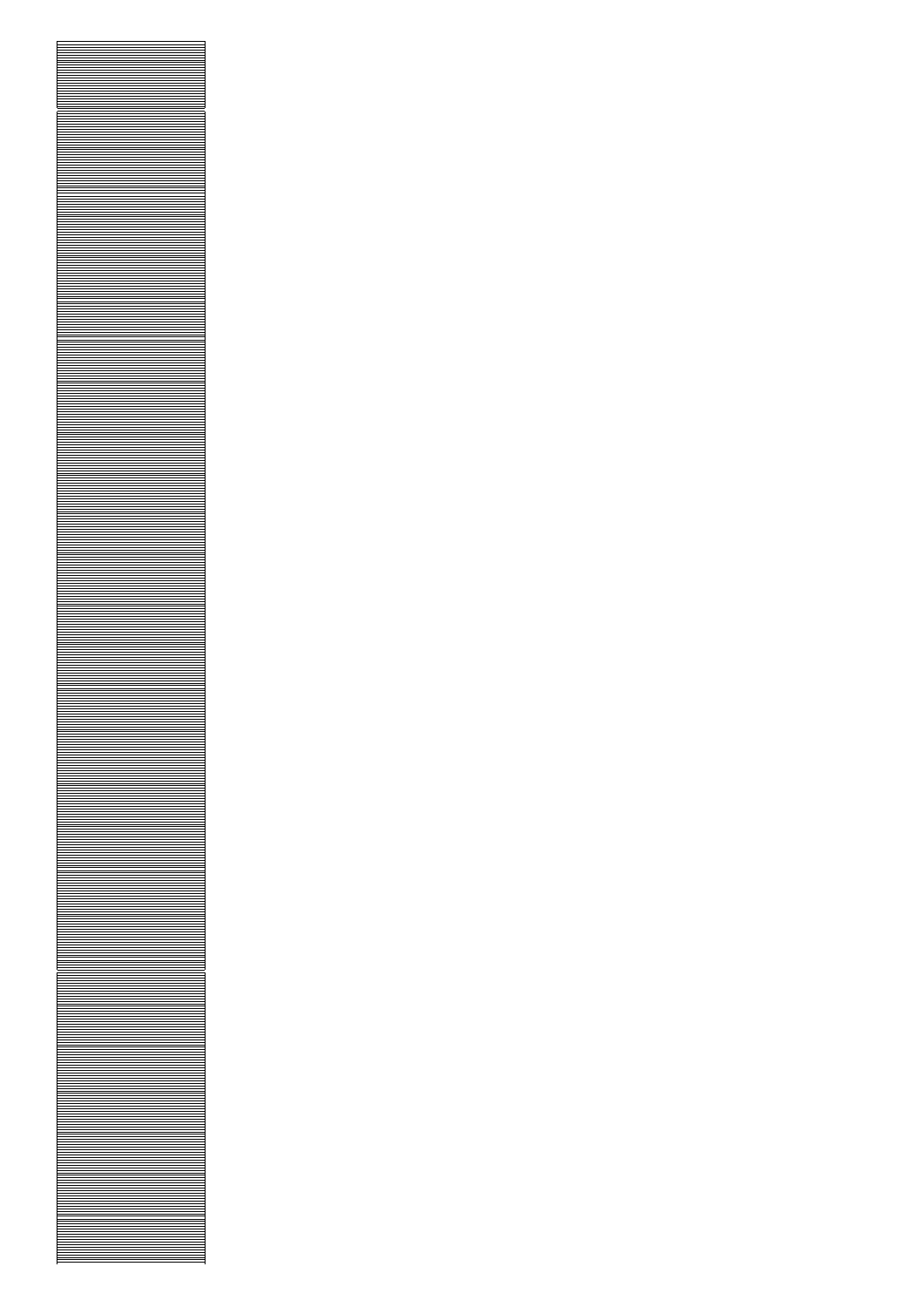